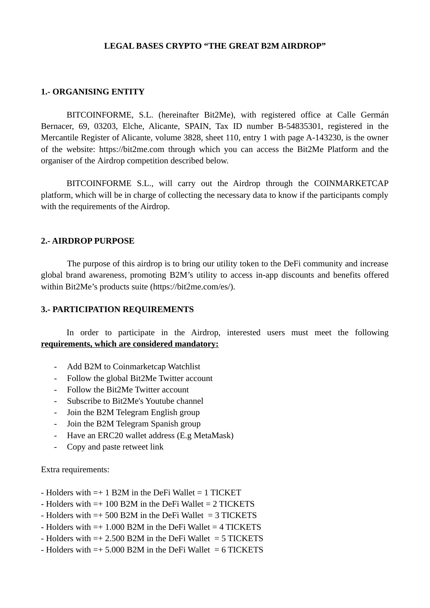## **LEGAL BASES CRYPTO "THE GREAT B2M AIRDROP"**

## **1.- ORGANISING ENTITY**

BITCOINFORME, S.L. (hereinafter Bit2Me), with registered office at Calle Germán Bernacer, 69, 03203, Elche, Alicante, SPAIN, Tax ID number B-54835301, registered in the Mercantile Register of Alicante, volume 3828, sheet 110, entry 1 with page A-143230, is the owner of the website: https://bit2me.com through which you can access the Bit2Me Platform and the organiser of the Airdrop competition described below.

BITCOINFORME S.L., will carry out the Airdrop through the COINMARKETCAP platform, which will be in charge of collecting the necessary data to know if the participants comply with the requirements of the Airdrop.

# **2.- AIRDROP PURPOSE**

The purpose of this airdrop is to bring our utility token to the DeFi community and increase global brand awareness, promoting B2M's utility to access in-app discounts and benefits offered within Bit2Me's products suite (https://bit2me.com/es/).

## **3.- PARTICIPATION REQUIREMENTS**

In order to participate in the Airdrop, interested users must meet the following **requirements, which are considered mandatory:**

- Add B2M to Coinmarketcap Watchlist
- Follow the global Bit2Me Twitter account
- Follow the Bit2Me Twitter account
- Subscribe to Bit2Me's Youtube channel
- Join the B2M Telegram English group
- Join the B2M Telegram Spanish group
- Have an ERC20 wallet address (E.g MetaMask)
- Copy and paste retweet link

## Extra requirements:

- $-$  Holders with  $=+1$  B2M in the DeFi Wallet  $=1$  TICKET
- $-$  Holders with  $=+100$  B2M in the DeFi Wallet  $= 2$  TICKETS
- Holders with  $=+500$  B2M in the DeFi Wallet  $=3$  TICKETS
- Holders with =+ 1.000 B2M in the DeFi Wallet = 4 TICKETS
- $-$  Holders with  $=$  + 2.500 B2M in the DeFi Wallet  $=$  5 TICKETS
- $-$  Holders with  $=$  + 5.000 B2M in the DeFi Wallet  $=$  6 TICKETS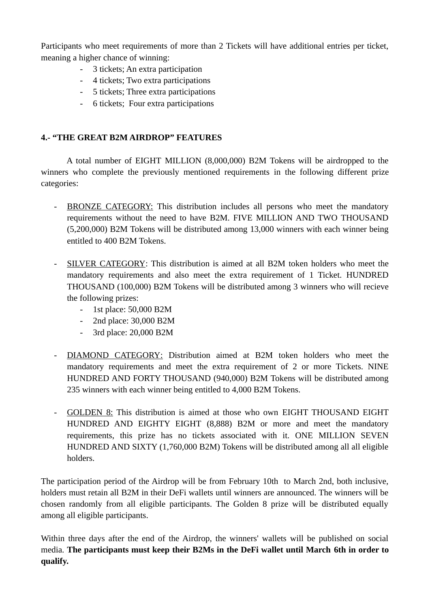Participants who meet requirements of more than 2 Tickets will have additional entries per ticket, meaning a higher chance of winning:

- 3 tickets; An extra participation
- 4 tickets; Two extra participations
- 5 tickets; Three extra participations
- 6 tickets; Four extra participations

# **4.- "THE GREAT B2M AIRDROP" FEATURES**

A total number of EIGHT MILLION (8,000,000) B2M Tokens will be airdropped to the winners who complete the previously mentioned requirements in the following different prize categories:

- BRONZE CATEGORY: This distribution includes all persons who meet the mandatory requirements without the need to have B2M. FIVE MILLION AND TWO THOUSAND (5,200,000) B2M Tokens will be distributed among 13,000 winners with each winner being entitled to 400 B2M Tokens.
- SILVER CATEGORY: This distribution is aimed at all B2M token holders who meet the mandatory requirements and also meet the extra requirement of 1 Ticket. HUNDRED THOUSAND (100,000) B2M Tokens will be distributed among 3 winners who will recieve the following prizes:
	- 1st place: 50,000 B2M
	- 2nd place: 30,000 B2M
	- 3rd place: 20,000 B2M
- DIAMOND CATEGORY : Distribution aimed at B2M token holders who meet the mandatory requirements and meet the extra requirement of 2 or more Tickets. NINE HUNDRED AND FORTY THOUSAND (940,000) B2M Tokens will be distributed among 235 winners with each winner being entitled to 4,000 B2M Tokens.
- GOLDEN 8: This distribution is aimed at those who own EIGHT THOUSAND EIGHT HUNDRED AND EIGHTY EIGHT (8,888) B2M or more and meet the mandatory requirements, this prize has no tickets associated with it. ONE MILLION SEVEN HUNDRED AND SIXTY (1,760,000 B2M) Tokens will be distributed among all all eligible holders.

The participation period of the Airdrop will be from February 10th to March 2nd, both inclusive, holders must retain all B2M in their DeFi wallets until winners are announced. The winners will be chosen randomly from all eligible participants. The Golden 8 prize will be distributed equally among all eligible participants.

Within three days after the end of the Airdrop, the winners' wallets will be published on social media. **The participants must keep their B2Ms in the DeFi wallet until March 6th in order to qualify.**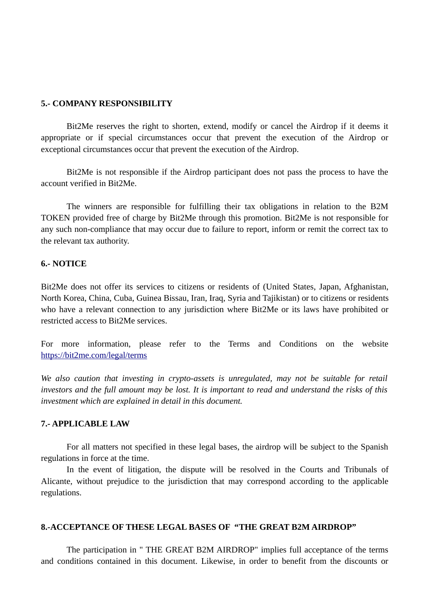## **5.- COMPANY RESPONSIBILITY**

Bit2Me reserves the right to shorten, extend, modify or cancel the Airdrop if it deems it appropriate or if special circumstances occur that prevent the execution of the Airdrop or exceptional circumstances occur that prevent the execution of the Airdrop.

Bit2Me is not responsible if the Airdrop participant does not pass the process to have the account verified in Bit2Me.

The winners are responsible for fulfilling their tax obligations in relation to the B2M TOKEN provided free of charge by Bit2Me through this promotion. Bit2Me is not responsible for any such non-compliance that may occur due to failure to report, inform or remit the correct tax to the relevant tax authority.

## **6.- NOTICE**

Bit2Me does not offer its services to citizens or residents of (United States, Japan, Afghanistan, North Korea, China, Cuba, Guinea Bissau, Iran, Iraq, Syria and Tajikistan) or to citizens or residents who have a relevant connection to any jurisdiction where Bit2Me or its laws have prohibited or restricted access to Bit2Me services.

For more information, please refer to the Terms and Conditions on the website <https://bit2me.com/legal/terms>

*We also caution that investing in crypto-assets is unregulated, may not be suitable for retail investors and the full amount may be lost. It is important to read and understand the risks of this investment which are explained in detail in this document.*

## **7.- APPLICABLE LAW**

For all matters not specified in these legal bases, the airdrop will be subject to the Spanish regulations in force at the time.

In the event of litigation, the dispute will be resolved in the Courts and Tribunals of Alicante, without prejudice to the jurisdiction that may correspond according to the applicable regulations.

## **8.-ACCEPTANCE OF THESE LEGAL BASES OF "THE GREAT B2M AIRDROP"**

The participation in " THE GREAT B2M AIRDROP" implies full acceptance of the terms and conditions contained in this document. Likewise, in order to benefit from the discounts or